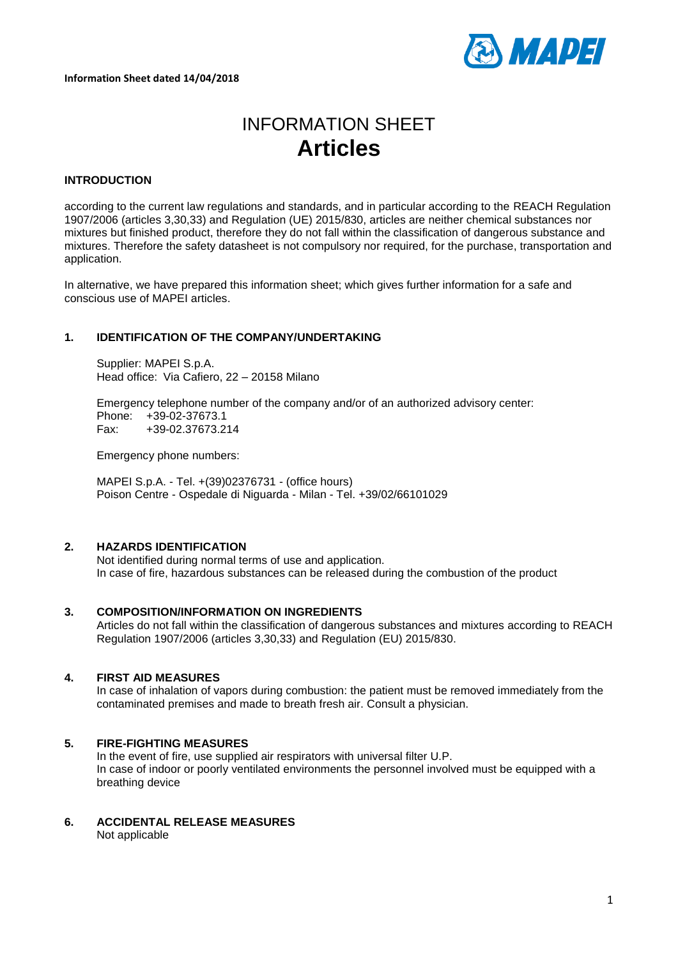

# INFORMATION SHEET **Articles**

# **INTRODUCTION**

according to the current law regulations and standards, and in particular according to the REACH Regulation 1907/2006 (articles 3,30,33) and Regulation (UE) 2015/830, articles are neither chemical substances nor mixtures but finished product, therefore they do not fall within the classification of dangerous substance and mixtures. Therefore the safety datasheet is not compulsory nor required, for the purchase, transportation and application.

In alternative, we have prepared this information sheet; which gives further information for a safe and conscious use of MAPEI articles.

## **1. IDENTIFICATION OF THE COMPANY/UNDERTAKING**

Supplier: MAPEI S.p.A. Head office: Via Cafiero, 22 – 20158 Milano

Emergency telephone number of the company and/or of an authorized advisory center: Phone: +39-02-37673.1 Fax: +39-02.37673.214

Emergency phone numbers:

MAPEI S.p.A. - Tel. +(39)02376731 - (office hours) Poison Centre - Ospedale di Niguarda - Milan - Tel. +39/02/66101029

# **2. HAZARDS IDENTIFICATION**

Not identified during normal terms of use and application. In case of fire, hazardous substances can be released during the combustion of the product

## **3. COMPOSITION/INFORMATION ON INGREDIENTS**

Articles do not fall within the classification of dangerous substances and mixtures according to REACH Regulation 1907/2006 (articles 3,30,33) and Regulation (EU) 2015/830.

## **4. FIRST AID MEASURES**

In case of inhalation of vapors during combustion: the patient must be removed immediately from the contaminated premises and made to breath fresh air. Consult a physician.

## **5. FIRE-FIGHTING MEASURES**

In the event of fire, use supplied air respirators with universal filter U.P. In case of indoor or poorly ventilated environments the personnel involved must be equipped with a breathing device

**6. ACCIDENTAL RELEASE MEASURES** Not applicable